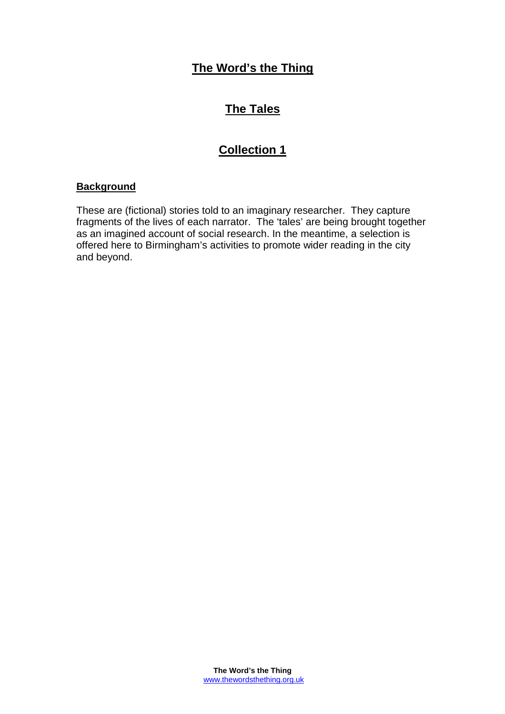# **The Word's the Thing**

# **The Tales**

# **Collection 1**

## **Background**

These are (fictional) stories told to an imaginary researcher. They capture fragments of the lives of each narrator. The 'tales' are being brought together as an imagined account of social research. In the meantime, a selection is offered here to Birmingham's activities to promote wider reading in the city and beyond.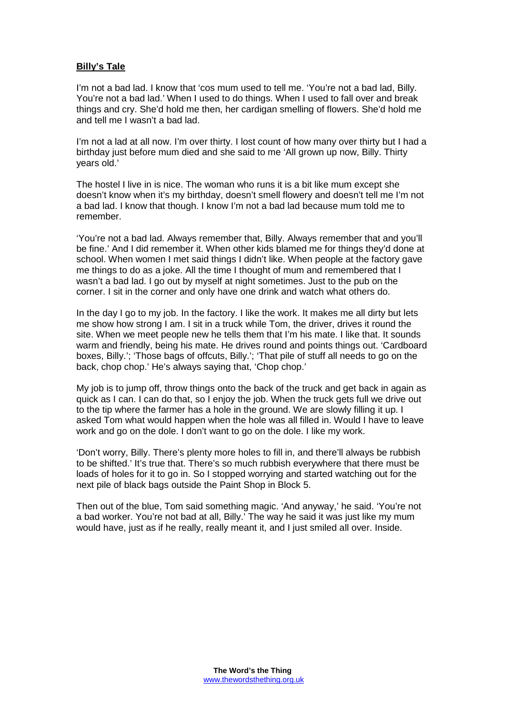## **Billy's Tale**

I'm not a bad lad. I know that 'cos mum used to tell me. 'You're not a bad lad, Billy. You're not a bad lad.' When I used to do things. When I used to fall over and break things and cry. She'd hold me then, her cardigan smelling of flowers. She'd hold me and tell me I wasn't a bad lad.

I'm not a lad at all now. I'm over thirty. I lost count of how many over thirty but I had a birthday just before mum died and she said to me 'All grown up now, Billy. Thirty years old.'

The hostel I live in is nice. The woman who runs it is a bit like mum except she doesn't know when it's my birthday, doesn't smell flowery and doesn't tell me I'm not a bad lad. I know that though. I know I'm not a bad lad because mum told me to remember.

'You're not a bad lad. Always remember that, Billy. Always remember that and you'll be fine.' And I did remember it. When other kids blamed me for things they'd done at school. When women I met said things I didn't like. When people at the factory gave me things to do as a joke. All the time I thought of mum and remembered that I wasn't a bad lad. I go out by myself at night sometimes. Just to the pub on the corner. I sit in the corner and only have one drink and watch what others do.

In the day I go to my job. In the factory. I like the work. It makes me all dirty but lets me show how strong I am. I sit in a truck while Tom, the driver, drives it round the site. When we meet people new he tells them that I'm his mate. I like that. It sounds warm and friendly, being his mate. He drives round and points things out. 'Cardboard boxes, Billy.'; 'Those bags of offcuts, Billy.'; 'That pile of stuff all needs to go on the back, chop chop.' He's always saying that, 'Chop chop.'

My job is to jump off, throw things onto the back of the truck and get back in again as quick as I can. I can do that, so I enjoy the job. When the truck gets full we drive out to the tip where the farmer has a hole in the ground. We are slowly filling it up. I asked Tom what would happen when the hole was all filled in. Would I have to leave work and go on the dole. I don't want to go on the dole. I like my work.

'Don't worry, Billy. There's plenty more holes to fill in, and there'll always be rubbish to be shifted.' It's true that. There's so much rubbish everywhere that there must be loads of holes for it to go in. So I stopped worrying and started watching out for the next pile of black bags outside the Paint Shop in Block 5.

Then out of the blue, Tom said something magic. 'And anyway,' he said. 'You're not a bad worker. You're not bad at all, Billy.' The way he said it was just like my mum would have, just as if he really, really meant it, and I just smiled all over. Inside.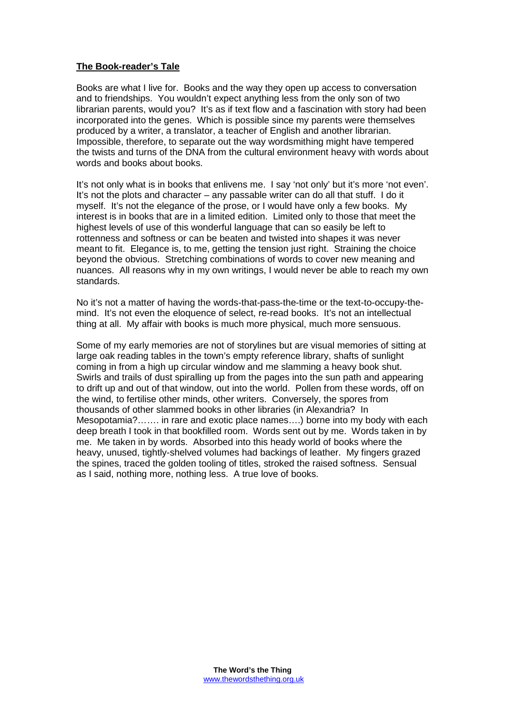#### **The Book-reader's Tale**

Books are what I live for. Books and the way they open up access to conversation and to friendships. You wouldn't expect anything less from the only son of two librarian parents, would you? It's as if text flow and a fascination with story had been incorporated into the genes. Which is possible since my parents were themselves produced by a writer, a translator, a teacher of English and another librarian. Impossible, therefore, to separate out the way wordsmithing might have tempered the twists and turns of the DNA from the cultural environment heavy with words about words and books about books.

It's not only what is in books that enlivens me. I say 'not only' but it's more 'not even'. It's not the plots and character – any passable writer can do all that stuff. I do it myself. It's not the elegance of the prose, or I would have only a few books. My interest is in books that are in a limited edition. Limited only to those that meet the highest levels of use of this wonderful language that can so easily be left to rottenness and softness or can be beaten and twisted into shapes it was never meant to fit. Elegance is, to me, getting the tension just right. Straining the choice beyond the obvious. Stretching combinations of words to cover new meaning and nuances. All reasons why in my own writings, I would never be able to reach my own standards.

No it's not a matter of having the words-that-pass-the-time or the text-to-occupy-themind. It's not even the eloquence of select, re-read books. It's not an intellectual thing at all. My affair with books is much more physical, much more sensuous.

Some of my early memories are not of storylines but are visual memories of sitting at large oak reading tables in the town's empty reference library, shafts of sunlight coming in from a high up circular window and me slamming a heavy book shut. Swirls and trails of dust spiralling up from the pages into the sun path and appearing to drift up and out of that window, out into the world. Pollen from these words, off on the wind, to fertilise other minds, other writers. Conversely, the spores from thousands of other slammed books in other libraries (in Alexandria? In Mesopotamia?……. in rare and exotic place names….) borne into my body with each deep breath I took in that bookfilled room. Words sent out by me. Words taken in by me. Me taken in by words. Absorbed into this heady world of books where the heavy, unused, tightly-shelved volumes had backings of leather. My fingers grazed the spines, traced the golden tooling of titles, stroked the raised softness. Sensual as I said, nothing more, nothing less. A true love of books.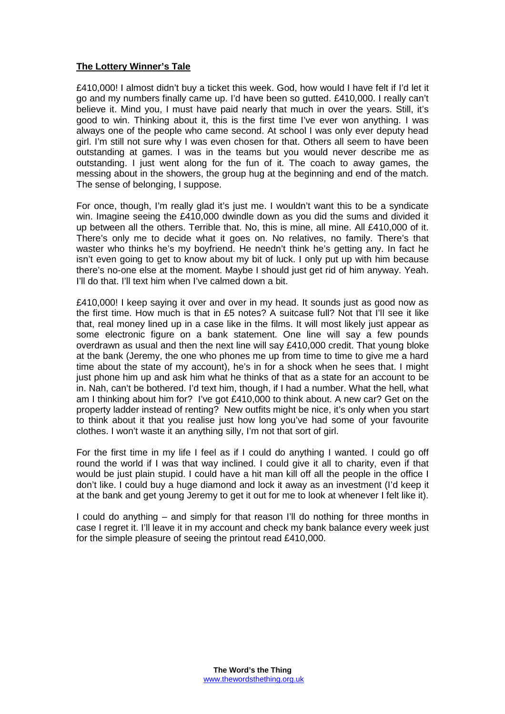#### **The Lottery Winner's Tale**

£410,000! I almost didn't buy a ticket this week. God, how would I have felt if I'd let it go and my numbers finally came up. I'd have been so gutted. £410,000. I really can't believe it. Mind you, I must have paid nearly that much in over the years. Still, it's good to win. Thinking about it, this is the first time I've ever won anything. I was always one of the people who came second. At school I was only ever deputy head girl. I'm still not sure why I was even chosen for that. Others all seem to have been outstanding at games. I was in the teams but you would never describe me as outstanding. I just went along for the fun of it. The coach to away games, the messing about in the showers, the group hug at the beginning and end of the match. The sense of belonging, I suppose.

For once, though, I'm really glad it's just me. I wouldn't want this to be a syndicate win. Imagine seeing the £410,000 dwindle down as you did the sums and divided it up between all the others. Terrible that. No, this is mine, all mine. All £410,000 of it. There's only me to decide what it goes on. No relatives, no family. There's that waster who thinks he's my boyfriend. He needn't think he's getting any. In fact he isn't even going to get to know about my bit of luck. I only put up with him because there's no-one else at the moment. Maybe I should just get rid of him anyway. Yeah. I'll do that. I'll text him when I've calmed down a bit.

£410,000! I keep saying it over and over in my head. It sounds just as good now as the first time. How much is that in £5 notes? A suitcase full? Not that I'll see it like that, real money lined up in a case like in the films. It will most likely just appear as some electronic figure on a bank statement. One line will say a few pounds overdrawn as usual and then the next line will say £410,000 credit. That young bloke at the bank (Jeremy, the one who phones me up from time to time to give me a hard time about the state of my account), he's in for a shock when he sees that. I might just phone him up and ask him what he thinks of that as a state for an account to be in. Nah, can't be bothered. I'd text him, though, if I had a number. What the hell, what am I thinking about him for? I've got £410,000 to think about. A new car? Get on the property ladder instead of renting? New outfits might be nice, it's only when you start to think about it that you realise just how long you've had some of your favourite clothes. I won't waste it an anything silly, I'm not that sort of girl.

For the first time in my life I feel as if I could do anything I wanted. I could go off round the world if I was that way inclined. I could give it all to charity, even if that would be just plain stupid. I could have a hit man kill off all the people in the office I don't like. I could buy a huge diamond and lock it away as an investment (I'd keep it at the bank and get young Jeremy to get it out for me to look at whenever I felt like it).

I could do anything – and simply for that reason I'll do nothing for three months in case I regret it. I'll leave it in my account and check my bank balance every week just for the simple pleasure of seeing the printout read £410,000.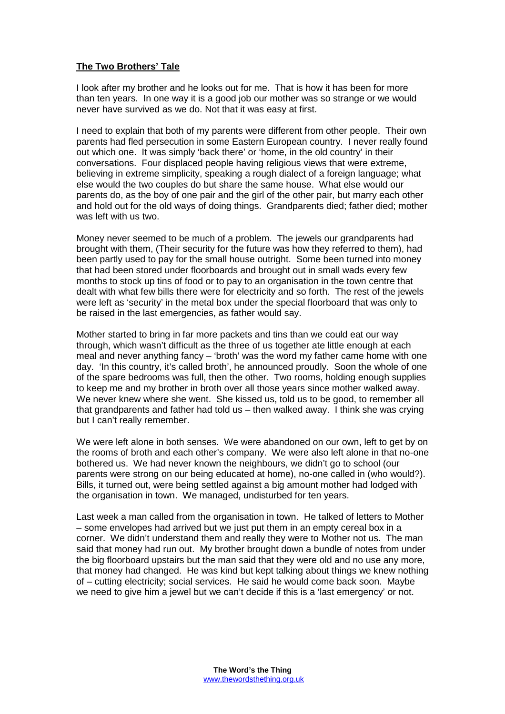### **The Two Brothers' Tale**

I look after my brother and he looks out for me. That is how it has been for more than ten years. In one way it is a good job our mother was so strange or we would never have survived as we do. Not that it was easy at first.

I need to explain that both of my parents were different from other people. Their own parents had fled persecution in some Eastern European country. I never really found out which one. It was simply 'back there' or 'home, in the old country' in their conversations. Four displaced people having religious views that were extreme, believing in extreme simplicity, speaking a rough dialect of a foreign language; what else would the two couples do but share the same house. What else would our parents do, as the boy of one pair and the girl of the other pair, but marry each other and hold out for the old ways of doing things. Grandparents died; father died; mother was left with us two.

Money never seemed to be much of a problem. The jewels our grandparents had brought with them, (Their security for the future was how they referred to them), had been partly used to pay for the small house outright. Some been turned into money that had been stored under floorboards and brought out in small wads every few months to stock up tins of food or to pay to an organisation in the town centre that dealt with what few bills there were for electricity and so forth. The rest of the jewels were left as 'security' in the metal box under the special floorboard that was only to be raised in the last emergencies, as father would say.

Mother started to bring in far more packets and tins than we could eat our way through, which wasn't difficult as the three of us together ate little enough at each meal and never anything fancy – 'broth' was the word my father came home with one day. 'In this country, it's called broth', he announced proudly. Soon the whole of one of the spare bedrooms was full, then the other. Two rooms, holding enough supplies to keep me and my brother in broth over all those years since mother walked away. We never knew where she went. She kissed us, told us to be good, to remember all that grandparents and father had told us – then walked away. I think she was crying but I can't really remember.

We were left alone in both senses. We were abandoned on our own, left to get by on the rooms of broth and each other's company. We were also left alone in that no-one bothered us. We had never known the neighbours, we didn't go to school (our parents were strong on our being educated at home), no-one called in (who would?). Bills, it turned out, were being settled against a big amount mother had lodged with the organisation in town. We managed, undisturbed for ten years.

Last week a man called from the organisation in town. He talked of letters to Mother – some envelopes had arrived but we just put them in an empty cereal box in a corner. We didn't understand them and really they were to Mother not us. The man said that money had run out. My brother brought down a bundle of notes from under the big floorboard upstairs but the man said that they were old and no use any more, that money had changed. He was kind but kept talking about things we knew nothing of – cutting electricity; social services. He said he would come back soon. Maybe we need to give him a jewel but we can't decide if this is a 'last emergency' or not.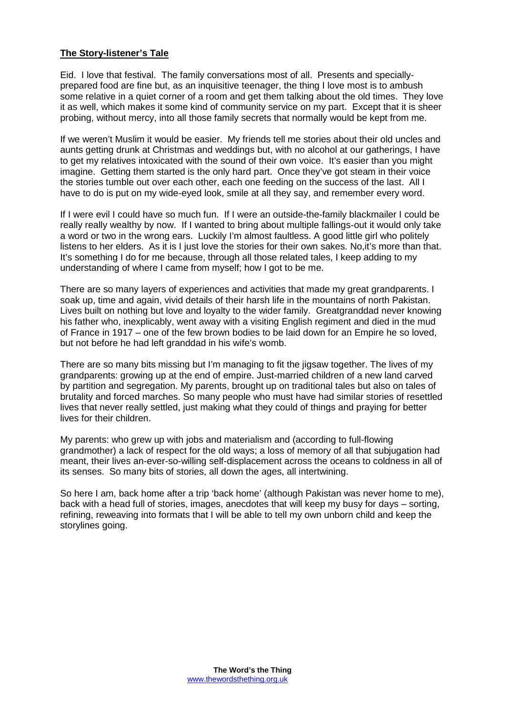#### **The Story-listener's Tale**

Eid. I love that festival. The family conversations most of all. Presents and speciallyprepared food are fine but, as an inquisitive teenager, the thing I love most is to ambush some relative in a quiet corner of a room and get them talking about the old times. They love it as well, which makes it some kind of community service on my part. Except that it is sheer probing, without mercy, into all those family secrets that normally would be kept from me.

If we weren't Muslim it would be easier. My friends tell me stories about their old uncles and aunts getting drunk at Christmas and weddings but, with no alcohol at our gatherings, I have to get my relatives intoxicated with the sound of their own voice. It's easier than you might imagine. Getting them started is the only hard part. Once they've got steam in their voice the stories tumble out over each other, each one feeding on the success of the last. All I have to do is put on my wide-eyed look, smile at all they say, and remember every word.

If I were evil I could have so much fun. If I were an outside-the-family blackmailer I could be really really wealthy by now. If I wanted to bring about multiple fallings-out it would only take a word or two in the wrong ears. Luckily I'm almost faultless. A good little girl who politely listens to her elders. As it is I just love the stories for their own sakes. No,it's more than that. It's something I do for me because, through all those related tales, I keep adding to my understanding of where I came from myself; how I got to be me.

There are so many layers of experiences and activities that made my great grandparents. I soak up, time and again, vivid details of their harsh life in the mountains of north Pakistan. Lives built on nothing but love and loyalty to the wider family. Greatgranddad never knowing his father who, inexplicably, went away with a visiting English regiment and died in the mud of France in 1917 – one of the few brown bodies to be laid down for an Empire he so loved, but not before he had left granddad in his wife's womb.

There are so many bits missing but I'm managing to fit the jigsaw together. The lives of my grandparents: growing up at the end of empire. Just-married children of a new land carved by partition and segregation. My parents, brought up on traditional tales but also on tales of brutality and forced marches. So many people who must have had similar stories of resettled lives that never really settled, just making what they could of things and praying for better lives for their children.

My parents: who grew up with jobs and materialism and (according to full-flowing grandmother) a lack of respect for the old ways; a loss of memory of all that subjugation had meant, their lives an-ever-so-willing self-displacement across the oceans to coldness in all of its senses. So many bits of stories, all down the ages, all intertwining.

So here I am, back home after a trip 'back home' (although Pakistan was never home to me), back with a head full of stories, images, anecdotes that will keep my busy for days – sorting, refining, reweaving into formats that I will be able to tell my own unborn child and keep the storylines going.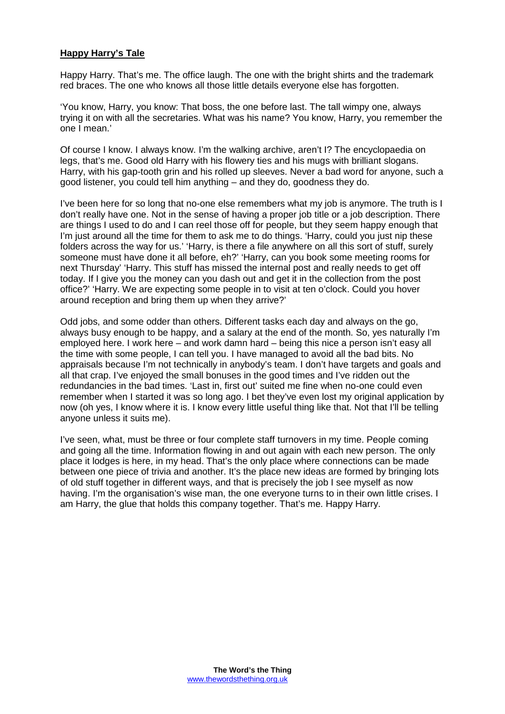#### **Happy Harry's Tale**

Happy Harry. That's me. The office laugh. The one with the bright shirts and the trademark red braces. The one who knows all those little details everyone else has forgotten.

'You know, Harry, you know: That boss, the one before last. The tall wimpy one, always trying it on with all the secretaries. What was his name? You know, Harry, you remember the one I mean.'

Of course I know. I always know. I'm the walking archive, aren't I? The encyclopaedia on legs, that's me. Good old Harry with his flowery ties and his mugs with brilliant slogans. Harry, with his gap-tooth grin and his rolled up sleeves. Never a bad word for anyone, such a good listener, you could tell him anything – and they do, goodness they do.

I've been here for so long that no-one else remembers what my job is anymore. The truth is I don't really have one. Not in the sense of having a proper job title or a job description. There are things I used to do and I can reel those off for people, but they seem happy enough that I'm just around all the time for them to ask me to do things. 'Harry, could you just nip these folders across the way for us.' 'Harry, is there a file anywhere on all this sort of stuff, surely someone must have done it all before, eh?' 'Harry, can you book some meeting rooms for next Thursday' 'Harry. This stuff has missed the internal post and really needs to get off today. If I give you the money can you dash out and get it in the collection from the post office?' 'Harry. We are expecting some people in to visit at ten o'clock. Could you hover around reception and bring them up when they arrive?'

Odd jobs, and some odder than others. Different tasks each day and always on the go, always busy enough to be happy, and a salary at the end of the month. So, yes naturally I'm employed here. I work here – and work damn hard – being this nice a person isn't easy all the time with some people, I can tell you. I have managed to avoid all the bad bits. No appraisals because I'm not technically in anybody's team. I don't have targets and goals and all that crap. I've enjoyed the small bonuses in the good times and I've ridden out the redundancies in the bad times. 'Last in, first out' suited me fine when no-one could even remember when I started it was so long ago. I bet they've even lost my original application by now (oh yes, I know where it is. I know every little useful thing like that. Not that I'll be telling anyone unless it suits me).

I've seen, what, must be three or four complete staff turnovers in my time. People coming and going all the time. Information flowing in and out again with each new person. The only place it lodges is here, in my head. That's the only place where connections can be made between one piece of trivia and another. It's the place new ideas are formed by bringing lots of old stuff together in different ways, and that is precisely the job I see myself as now having. I'm the organisation's wise man, the one everyone turns to in their own little crises. I am Harry, the glue that holds this company together. That's me. Happy Harry.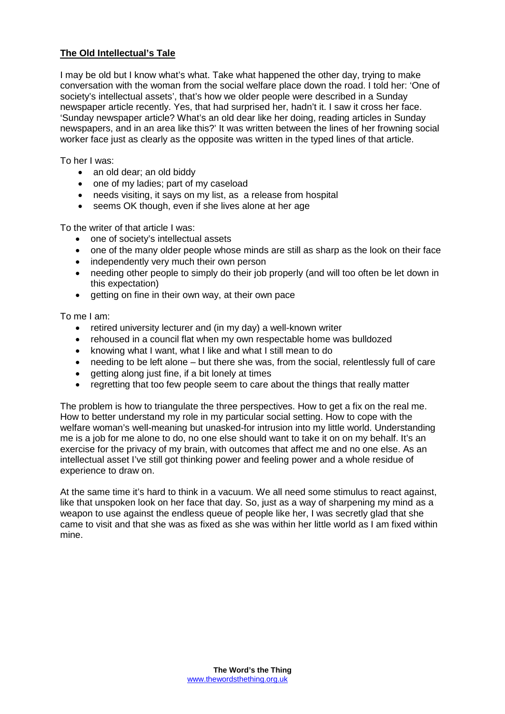### **The Old Intellectual's Tale**

I may be old but I know what's what. Take what happened the other day, trying to make conversation with the woman from the social welfare place down the road. I told her: 'One of society's intellectual assets', that's how we older people were described in a Sunday newspaper article recently. Yes, that had surprised her, hadn't it. I saw it cross her face. 'Sunday newspaper article? What's an old dear like her doing, reading articles in Sunday newspapers, and in an area like this?' It was written between the lines of her frowning social worker face just as clearly as the opposite was written in the typed lines of that article.

To her I was:

- an old dear; an old biddy
- one of my ladies; part of my caseload
- needs visiting, it says on my list, as a release from hospital
- seems OK though, even if she lives alone at her age

To the writer of that article I was:

- one of society's intellectual assets
- one of the many older people whose minds are still as sharp as the look on their face
- independently very much their own person
- needing other people to simply do their job properly (and will too often be let down in this expectation)
- $\bullet$  aetting on fine in their own way, at their own pace

To me I am:

- retired university lecturer and (in my day) a well-known writer
- rehoused in a council flat when my own respectable home was bulldozed
- knowing what I want, what I like and what I still mean to do
- needing to be left alone but there she was, from the social, relentlessly full of care
- getting along just fine, if a bit lonely at times
- regretting that too few people seem to care about the things that really matter

The problem is how to triangulate the three perspectives. How to get a fix on the real me. How to better understand my role in my particular social setting. How to cope with the welfare woman's well-meaning but unasked-for intrusion into my little world. Understanding me is a job for me alone to do, no one else should want to take it on on my behalf. It's an exercise for the privacy of my brain, with outcomes that affect me and no one else. As an intellectual asset I've still got thinking power and feeling power and a whole residue of experience to draw on.

At the same time it's hard to think in a vacuum. We all need some stimulus to react against, like that unspoken look on her face that day. So, just as a way of sharpening my mind as a weapon to use against the endless queue of people like her, I was secretly glad that she came to visit and that she was as fixed as she was within her little world as I am fixed within mine.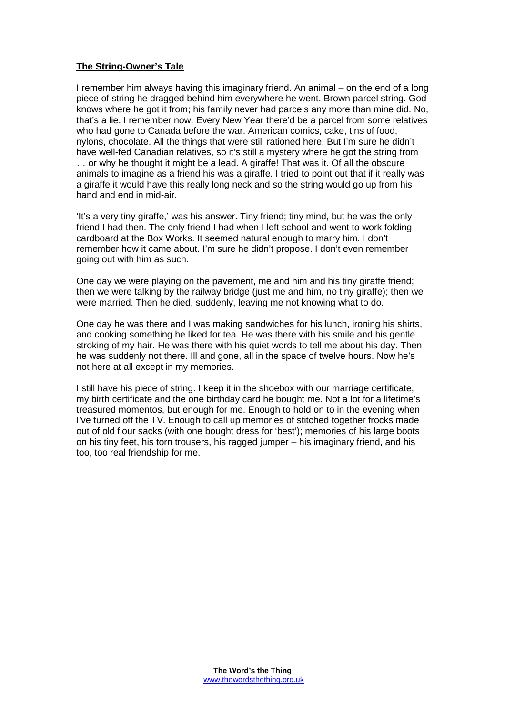#### **The String-Owner's Tale**

I remember him always having this imaginary friend. An animal – on the end of a long piece of string he dragged behind him everywhere he went. Brown parcel string. God knows where he got it from; his family never had parcels any more than mine did. No, that's a lie. I remember now. Every New Year there'd be a parcel from some relatives who had gone to Canada before the war. American comics, cake, tins of food, nylons, chocolate. All the things that were still rationed here. But I'm sure he didn't have well-fed Canadian relatives, so it's still a mystery where he got the string from … or why he thought it might be a lead. A giraffe! That was it. Of all the obscure animals to imagine as a friend his was a giraffe. I tried to point out that if it really was a giraffe it would have this really long neck and so the string would go up from his hand and end in mid-air.

'It's a very tiny giraffe,' was his answer. Tiny friend; tiny mind, but he was the only friend I had then. The only friend I had when I left school and went to work folding cardboard at the Box Works. It seemed natural enough to marry him. I don't remember how it came about. I'm sure he didn't propose. I don't even remember going out with him as such.

One day we were playing on the pavement, me and him and his tiny giraffe friend; then we were talking by the railway bridge (just me and him, no tiny giraffe); then we were married. Then he died, suddenly, leaving me not knowing what to do.

One day he was there and I was making sandwiches for his lunch, ironing his shirts, and cooking something he liked for tea. He was there with his smile and his gentle stroking of my hair. He was there with his quiet words to tell me about his day. Then he was suddenly not there. Ill and gone, all in the space of twelve hours. Now he's not here at all except in my memories.

I still have his piece of string. I keep it in the shoebox with our marriage certificate, my birth certificate and the one birthday card he bought me. Not a lot for a lifetime's treasured momentos, but enough for me. Enough to hold on to in the evening when I've turned off the TV. Enough to call up memories of stitched together frocks made out of old flour sacks (with one bought dress for 'best'); memories of his large boots on his tiny feet, his torn trousers, his ragged jumper – his imaginary friend, and his too, too real friendship for me.